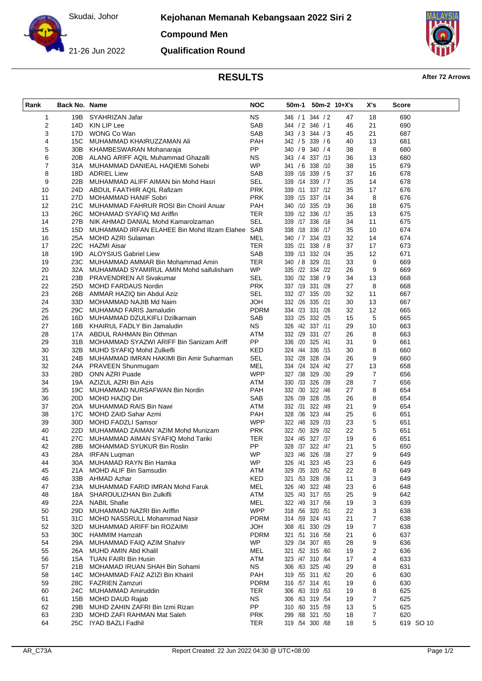Skudai, Johor

**Kejohanan Memanah Kebangsaan 2022 Siri 2**

**Compound Men**



**Qualification Round**



## **RESULTS After 72 Arrows**

| Rank           | <b>Back No. Name</b> |                                                                    | <b>NOC</b>                | 50m-1                              | $50m-2$ 10+X's   |          | X's                     | <b>Score</b> |  |
|----------------|----------------------|--------------------------------------------------------------------|---------------------------|------------------------------------|------------------|----------|-------------------------|--------------|--|
| 1              | 19B                  | SYAHRIZAN Jafar                                                    | <b>NS</b>                 |                                    | 346 / 1 344 / 2  | 47       | 18                      | 690          |  |
| $\overline{c}$ | 14D                  | KIN LIP Lee                                                        | SAB                       | 344 / 2 346 / 1                    |                  | 46       | 21                      | 690          |  |
| 3              |                      | 17D WONG Co Wan                                                    | SAB                       | 343 / 3 344 / 3                    |                  | 45       | 21                      | 687          |  |
| 4              | 15C                  | MUHAMMAD KHAIRUZZAMAN Ali                                          | PAH                       | 342 / 5 339 / 6                    |                  | 40       | 13                      | 681          |  |
| 5              |                      | 30B KHAMBESWARAN Mohanaraja                                        | <b>PP</b>                 | 340 / 9 340 / 4                    |                  | 38       | 8                       | 680          |  |
| 6              |                      | 20B ALANG ARIFF AQIL Muhammad Ghazalli                             | NS.                       |                                    | 343 / 4 337 / 13 | 36       | 13                      | 680          |  |
| 7              |                      | 31A MUHAMMAD DANIEAL HAQIEMI Sohebi                                | <b>WP</b>                 | 341 / 6 338 /10                    |                  | 38       | 15                      | 679          |  |
| 8              |                      | 18D ADRIEL Liew                                                    | SAB                       | 339 /16 339 / 5                    |                  | 37       | 16                      | 678          |  |
| 9              |                      | 22B MUHAMMAD ALIFF AIMAN bin Mohd Hasri                            | SEL                       | 339 /14 339 / 7                    |                  | 35       | 14                      | 678          |  |
| 10             |                      | 24D ABDUL FAATHIR AQIL Rafizam                                     | <b>PRK</b>                |                                    | 339 /11 337 /12  | 35       | 17                      | 676          |  |
| 11             |                      | 27D MOHAMMAD HANIF Sobri                                           | <b>PRK</b>                |                                    | 339 /15 337 /14  | 34       | 8                       | 676          |  |
| 12             |                      | 21C MUHAMMAD FAHRUR ROSI Bin Choiril Anuar                         | PAH                       | 340 /10 335 /19                    |                  | 36       | 18                      | 675          |  |
| 13             |                      | 26C MOHAMAD SYAFIQ Md Ariffin                                      | TER                       | 339 /12 336 /17                    |                  | 35       | 13                      | 675          |  |
| 14             |                      | 27B NIK AHMAD DANIAL Mohd Kamarolzaman                             | <b>SEL</b>                | 339 /17 336 /16                    |                  | 34       | 11                      | 675          |  |
| 15             |                      | 15D MUHAMMAD IRFAN ELAHEE Bin Mohd IIIzam Elahee SAB               |                           | 338 /18 336 /17                    |                  | 35       | 10                      | 674          |  |
| 16             |                      | 25A MOHD AZRI Sulaiman                                             | MEL                       | 340 / 7 334 / 23                   |                  | 32       | 14                      | 674          |  |
| 17             |                      | 22C HAZMI Aisar                                                    | <b>TER</b>                | 335 /21 338 /8                     |                  | 37       | 17                      | 673          |  |
| 18             |                      | 19D ALOYSIUS Gabriel Liew                                          | SAB                       | 339 /13 332 /24                    |                  | 35       | 12                      | 671          |  |
| 19             |                      | 23C MUHAMMAD AMMAR Bin Mohammad Amin                               | TER                       | 340 / 8 329 / 31                   |                  | 33       | 9                       | 669          |  |
| 20             |                      | 32A MUHAMMAD SYAMIRUL AMIN Mohd saifulisham                        | <b>WP</b>                 |                                    | 335 /22 334 /22  | 26       | 9                       | 669          |  |
| 21             |                      | 23B PRAVENDREN A/I Sivakumar                                       | SEL                       |                                    | 330 /32 338 / 9  | 34       | 13                      | 668          |  |
| 22             |                      | 25D MOHD FARDAUS Nordin                                            | <b>PRK</b>                | 337 /19 331 /28                    |                  | 27       | 8                       | 668          |  |
| 23             |                      | 26B AMMAR HAZIQ bin Abdul Aziz                                     | <b>SEL</b>                |                                    | 332 /27 335 /20  | 32       | 11                      | 667          |  |
| 24             |                      | 33D MOHAMMAD NAJIB Md Naim                                         | <b>HOL</b>                | 332 /26 335 /21                    |                  | 30       | 13                      | 667          |  |
| 25<br>26       |                      | 29C MUHAMAD FARIS Jamaludin<br>16D MUHAMMAD DZULKIFLI Dzilkarnain  | <b>PDRM</b><br><b>SAB</b> | 334 /23 331 /26                    | 333 /25 332 /25  | 32<br>15 | 12<br>5                 | 665<br>665   |  |
| 27             |                      | 16B KHAIRUL FADLY Bin Jamaludin                                    | <b>NS</b>                 | 326 /42 337 /11                    |                  | 29       | 10                      | 663          |  |
| 28             |                      | 17A ABDUL RAHMAN Bin Othman                                        | ATM                       | 332 /29 331 /27                    |                  | 26       | 8                       | 663          |  |
| 29             |                      | 31B MOHAMMAD SYAZWI ARIFF Bin Sanizam Ariff                        | PP                        | 336 /20 325 /41                    |                  | 31       | 9                       | 661          |  |
| 30             |                      | 32B MUHD SYAFIQ Mohd Zulkefli                                      | KED                       |                                    | 324 /44 336 /15  | 30       | 8                       | 660          |  |
| 31             |                      | 24B MUHAMMAD IMRAN HAKIMI Bin Amir Suharman                        | <b>SEL</b>                | 332 /28 328 /34                    |                  | 26       | 9                       | 660          |  |
| 32             |                      | 24A PRAVEEN Shunmugam                                              | MEL                       | 334 /24 324 /42                    |                  | 27       | 13                      | 658          |  |
| 33             |                      | 28D ONN AZRI Puade                                                 | <b>WPP</b>                |                                    | 327 /38 329 /30  | 29       | 7                       | 656          |  |
| 34             |                      | 19A AZIZUL AZRI Bin Azis                                           | ATM                       | 330 /33 326 /39                    |                  | 28       | 7                       | 656          |  |
| 35             |                      | 19C MUHAMMAD NURSAFWAN Bin Nordin                                  | PAH                       | 332 /30 322 /46                    |                  | 27       | 8                       | 654          |  |
| 36             |                      | 20D MOHD HAZIQ Din                                                 | SAB                       |                                    | 326 /39 328 /35  | 26       | 8                       | 654          |  |
| 37             |                      | 20A MUHAMMAD RAIS Bin Nawi                                         | <b>ATM</b>                |                                    | 332 /31 322 /49  | 21       | 9                       | 654          |  |
| 38             |                      | 17C MOHD ZAID Sahar Azmi                                           | PAH                       | 328 /36 323 /44                    |                  | 25       | 6                       | 651          |  |
| 39             |                      | 30D MOHD.FADZLI Samsor                                             | <b>WPP</b>                | 322 /48 329 /33                    |                  | 23       | 5                       | 651          |  |
| 40             |                      | 22D MUHAMMAD ZAIMAN 'AZIM Mohd Munizam                             | <b>PRK</b>                |                                    | 322 /50 329 /32  | 22       | 5                       | 651          |  |
| 41             |                      | 27C MUHAMMAD AIMAN SYAFIQ Mohd Tariki                              | TER                       | 324 /45 327 /37                    |                  | 19       | 6                       | 651          |  |
| 42             |                      | 28B MOHAMMAD SYUKUR Bin Roslin                                     | PP                        | 328 /37 322 /47                    |                  | 21       | 5                       | 650          |  |
| 43             |                      | 28A IRFAN Luqman                                                   | <b>WP</b>                 |                                    | 323 /46 326 /38  | 27       | 9                       | 649          |  |
| 44             | 30A                  | MUHAMAD RAYN Bin Hamka                                             | WP                        |                                    | 326 /41 323 /45  | 23       | 6                       | 649          |  |
| 45             | 21A                  | MOHD ALIF Bin Samsudin                                             | <b>ATM</b>                |                                    | 329 /35 320 /52  | 22       | 8                       | 649          |  |
| 46             |                      | 33B AHMAD Azhar                                                    | KED                       | 321 /53 328 /36                    |                  | 11       | 3                       | 649          |  |
| 47             |                      | 23A MUHAMMAD FARID IMRAN Mohd Faruk                                | MEL                       | 326 /40 322 /48                    |                  | 23       | 6                       | 648          |  |
| 48             |                      | 18A SHAROULIZHAN Bin Zulkifli                                      | ATM                       | 325 /43 317 /55                    |                  | 25       | 9                       | 642          |  |
| 49             |                      | 22A NABIL Shafie                                                   | <b>MEL</b><br><b>WPP</b>  | 322 /49 317 /56                    |                  | 19       | 3                       | 639          |  |
| 50             |                      | 29D MUHAMMAD NAZRI Bin Ariffin                                     |                           | 318 /56 320 /51<br>314 /59 324 /43 |                  | 22       | 3                       | 638          |  |
| 51<br>52       |                      | 31C MOHD NASSRULL Mohammad Nasir<br>32D MUHAMMAD ARIFF bin ROZAIMI | <b>PDRM</b><br>HOL        | 308 /61 330 /29                    |                  | 21       | 7<br>7                  | 638<br>638   |  |
| 53             |                      | 30C HAMMIM Hamzah                                                  | <b>PDRM</b>               |                                    | 321 /51 316 /58  | 19<br>21 | 6                       | 637          |  |
| 54             |                      | 29A MUHAMMAD FAIQ AZIM Shahrir                                     | <b>WP</b>                 | 329 /34 307 /65                    |                  | 28       | 9                       | 636          |  |
| 55             |                      | 26A MUHD AMIN Abd Khalil                                           | MEL                       | 321 /52 315 /60                    |                  | 19       | $\overline{\mathbf{c}}$ | 636          |  |
| 56             |                      | 15A TUAN FAIRI Bin Husin                                           | ATM                       | 323 /47 310 /64                    |                  | 17       | 4                       | 633          |  |
| 57             |                      | 21B MOHAMAD IRUAN SHAH Bin Sohami                                  | <b>NS</b>                 | 306 /63 325 /40                    |                  | 29       | 8                       | 631          |  |
| 58             |                      | 14C MOHAMMAD FAIZ AZIZI Bin Khairil                                | PAH                       |                                    | 319 /55 311 /62  | 20       | 6                       | 630          |  |
| 59             |                      | 28C FAZRIEN Zamzuri                                                | <b>PDRM</b>               | 316 /57 314 /61                    |                  | 19       | 6                       | 630          |  |
| 60             |                      | 24C MUHAMMAD Amiruddin                                             | <b>TER</b>                |                                    | 306 /63 319 /53  | 19       | 8                       | 625          |  |
| 61             |                      | 15B MOHD DAUD Rajab                                                | <b>NS</b>                 | 306 /63 319 /54                    |                  | 19       | 7                       | 625          |  |
| 62             |                      | 29B MUHD ZAHIN ZAFRI Bin Izmi Rizan                                | <b>PP</b>                 | 310 /60 315 /59                    |                  | 13       | 5                       | 625          |  |
| 63             |                      | 23D MOHD ZAFI RAHMAN Mat Saleh                                     | <b>PRK</b>                |                                    | 299 /68 321 /50  | 18       | 7                       | 620          |  |
| 64             |                      | 25C IYAD BAZLI Fadhil                                              | <b>TER</b>                | 319 /54 300 /68                    |                  | 18       | 5                       | 619 SO 10    |  |
|                |                      |                                                                    |                           |                                    |                  |          |                         |              |  |